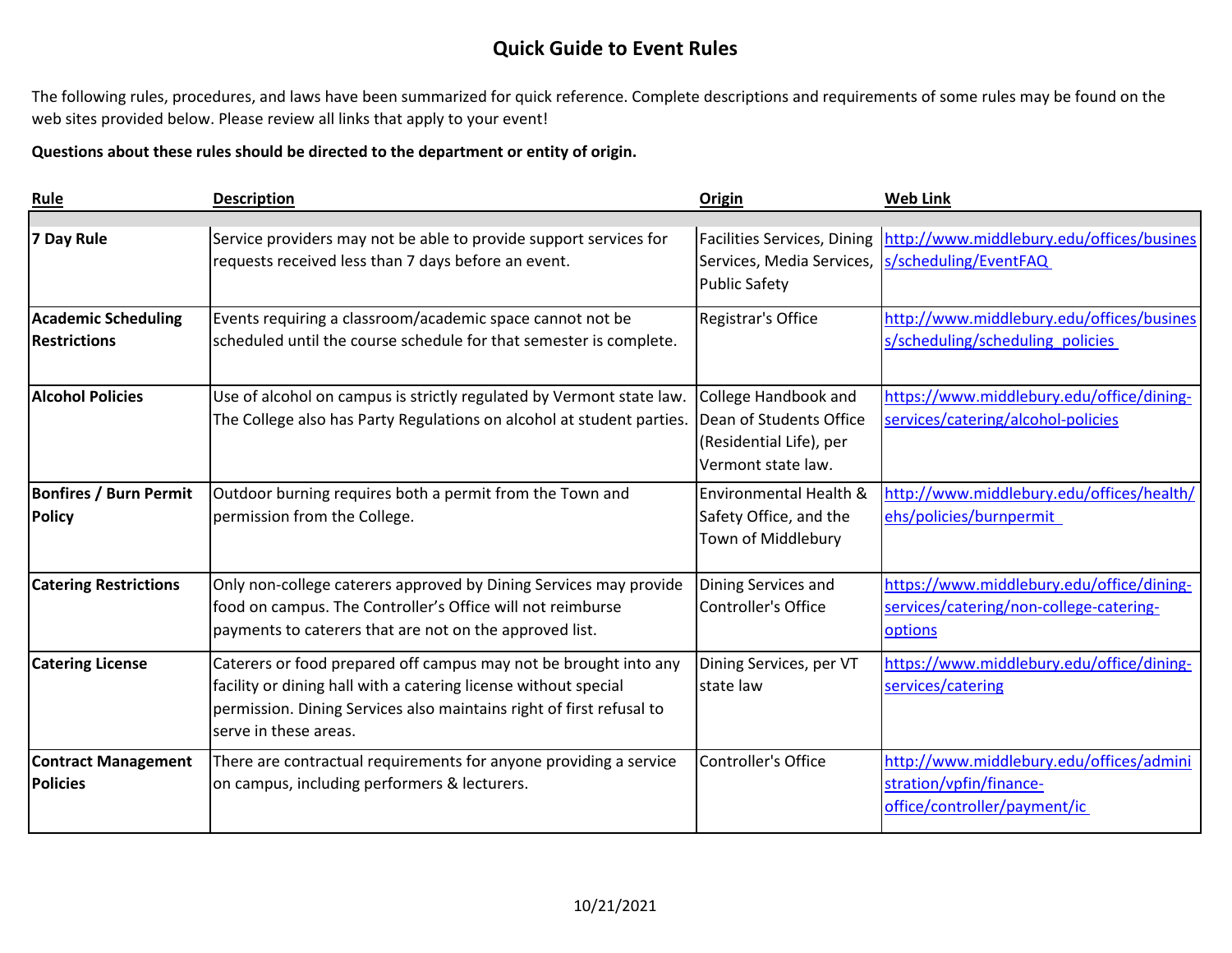The following rules, procedures, and laws have been summarized for quick reference. Complete descriptions and requirements of some rules may be found on the web sites provided below. Please review all links that apply to your event!

#### **Questions about these rules should be directed to the department or entity of origin.**

| Rule                          | <b>Description</b>                                                    | Origin                             | <b>Web Link</b>                           |
|-------------------------------|-----------------------------------------------------------------------|------------------------------------|-------------------------------------------|
|                               |                                                                       |                                    |                                           |
| 7 Day Rule                    | Service providers may not be able to provide support services for     | <b>Facilities Services, Dining</b> | http://www.middlebury.edu/offices/busines |
|                               | requests received less than 7 days before an event.                   | Services, Media Services,          | s/scheduling/EventFAQ                     |
|                               |                                                                       | <b>Public Safety</b>               |                                           |
| <b>Academic Scheduling</b>    | Events requiring a classroom/academic space cannot not be             | Registrar's Office                 | http://www.middlebury.edu/offices/busines |
| <b>Restrictions</b>           | scheduled until the course schedule for that semester is complete.    |                                    | s/scheduling/scheduling policies          |
| <b>Alcohol Policies</b>       | Use of alcohol on campus is strictly regulated by Vermont state law.  | College Handbook and               | https://www.middlebury.edu/office/dining- |
|                               | The College also has Party Regulations on alcohol at student parties. | Dean of Students Office            | services/catering/alcohol-policies        |
|                               |                                                                       | (Residential Life), per            |                                           |
|                               |                                                                       | Vermont state law.                 |                                           |
| <b>Bonfires / Burn Permit</b> | Outdoor burning requires both a permit from the Town and              | Environmental Health &             | http://www.middlebury.edu/offices/health/ |
| <b>Policy</b>                 | permission from the College.                                          | Safety Office, and the             | ehs/policies/burnpermit                   |
|                               |                                                                       | Town of Middlebury                 |                                           |
| <b>Catering Restrictions</b>  | Only non-college caterers approved by Dining Services may provide     | Dining Services and                | https://www.middlebury.edu/office/dining- |
|                               | food on campus. The Controller's Office will not reimburse            | Controller's Office                | services/catering/non-college-catering-   |
|                               | payments to caterers that are not on the approved list.               |                                    | options                                   |
| <b>Catering License</b>       | Caterers or food prepared off campus may not be brought into any      | Dining Services, per VT            | https://www.middlebury.edu/office/dining- |
|                               | facility or dining hall with a catering license without special       | state law                          | services/catering                         |
|                               | permission. Dining Services also maintains right of first refusal to  |                                    |                                           |
|                               | serve in these areas.                                                 |                                    |                                           |
| <b>Contract Management</b>    | There are contractual requirements for anyone providing a service     | <b>Controller's Office</b>         | http://www.middlebury.edu/offices/admini  |
| <b>Policies</b>               | on campus, including performers & lecturers.                          |                                    | stration/vpfin/finance-                   |
|                               |                                                                       |                                    | office/controller/payment/ic              |
|                               |                                                                       |                                    |                                           |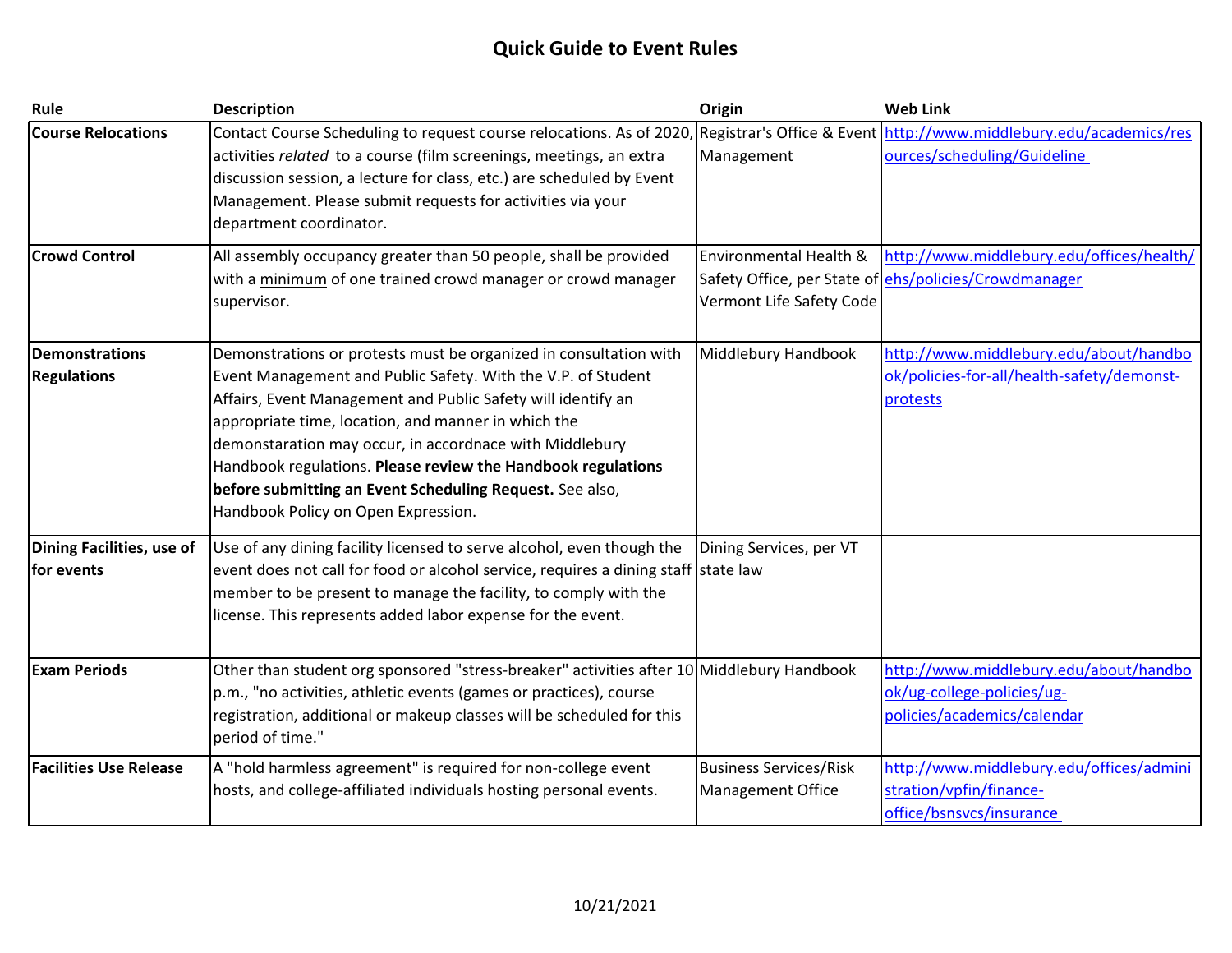| Rule                                        | <b>Description</b>                                                                                                                                                                                                                                                                                                                                                                                                                                                                     | Origin                                                    | <b>Web Link</b>                                                                                     |
|---------------------------------------------|----------------------------------------------------------------------------------------------------------------------------------------------------------------------------------------------------------------------------------------------------------------------------------------------------------------------------------------------------------------------------------------------------------------------------------------------------------------------------------------|-----------------------------------------------------------|-----------------------------------------------------------------------------------------------------|
| <b>Course Relocations</b>                   | Contact Course Scheduling to request course relocations. As of 2020,<br>activities related to a course (film screenings, meetings, an extra<br>discussion session, a lecture for class, etc.) are scheduled by Event<br>Management. Please submit requests for activities via your<br>department coordinator.                                                                                                                                                                          | Management                                                | Registrar's Office & Event http://www.middlebury.edu/academics/res<br>ources/scheduling/Guideline   |
| <b>Crowd Control</b>                        | All assembly occupancy greater than 50 people, shall be provided<br>with a minimum of one trained crowd manager or crowd manager<br>supervisor.                                                                                                                                                                                                                                                                                                                                        | Environmental Health &<br>Vermont Life Safety Code        | http://www.middlebury.edu/offices/health/<br>Safety Office, per State of ehs/policies/Crowdmanager  |
| <b>Demonstrations</b><br><b>Regulations</b> | Demonstrations or protests must be organized in consultation with<br>Event Management and Public Safety. With the V.P. of Student<br>Affairs, Event Management and Public Safety will identify an<br>appropriate time, location, and manner in which the<br>demonstaration may occur, in accordnace with Middlebury<br>Handbook regulations. Please review the Handbook regulations<br>before submitting an Event Scheduling Request. See also,<br>Handbook Policy on Open Expression. | Middlebury Handbook                                       | http://www.middlebury.edu/about/handbo<br>ok/policies-for-all/health-safety/demonst-<br>protests    |
| Dining Facilities, use of<br>for events     | Use of any dining facility licensed to serve alcohol, even though the<br>event does not call for food or alcohol service, requires a dining staff state law<br>member to be present to manage the facility, to comply with the<br>license. This represents added labor expense for the event.                                                                                                                                                                                          | Dining Services, per VT                                   |                                                                                                     |
| <b>Exam Periods</b>                         | Other than student org sponsored "stress-breaker" activities after 10 Middlebury Handbook<br>p.m., "no activities, athletic events (games or practices), course<br>registration, additional or makeup classes will be scheduled for this<br>period of time."                                                                                                                                                                                                                           |                                                           | http://www.middlebury.edu/about/handbo<br>ok/ug-college-policies/ug-<br>policies/academics/calendar |
| <b>Facilities Use Release</b>               | A "hold harmless agreement" is required for non-college event<br>hosts, and college-affiliated individuals hosting personal events.                                                                                                                                                                                                                                                                                                                                                    | <b>Business Services/Risk</b><br><b>Management Office</b> | http://www.middlebury.edu/offices/admini<br>stration/vpfin/finance-<br>office/bsnsvcs/insurance     |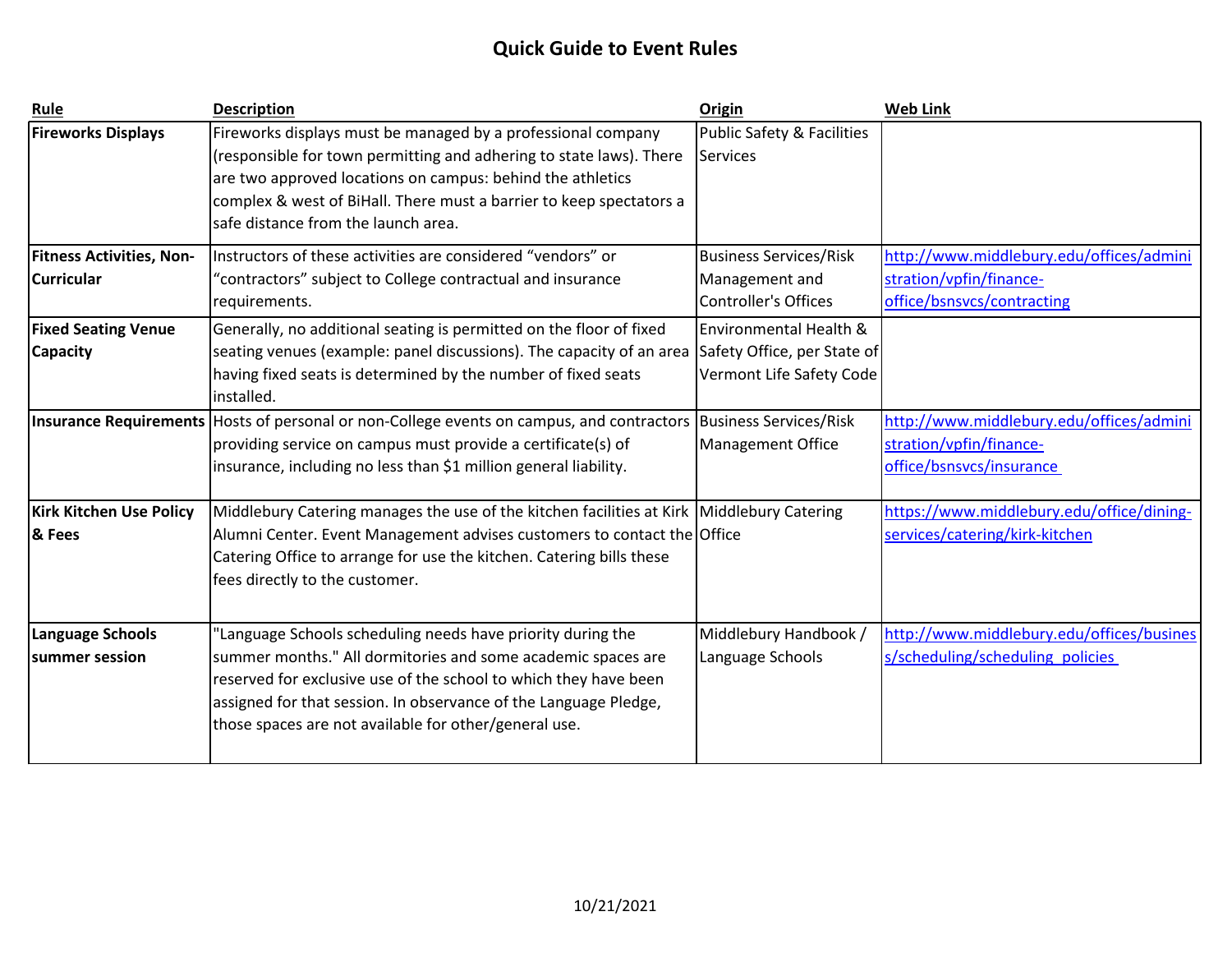| Rule                            | <b>Description</b>                                                                        | <b>Origin</b>                         | <b>Web Link</b>                           |
|---------------------------------|-------------------------------------------------------------------------------------------|---------------------------------------|-------------------------------------------|
| <b>Fireworks Displays</b>       | Fireworks displays must be managed by a professional company                              | <b>Public Safety &amp; Facilities</b> |                                           |
|                                 | (responsible for town permitting and adhering to state laws). There                       | <b>Services</b>                       |                                           |
|                                 | are two approved locations on campus: behind the athletics                                |                                       |                                           |
|                                 | complex & west of BiHall. There must a barrier to keep spectators a                       |                                       |                                           |
|                                 | safe distance from the launch area.                                                       |                                       |                                           |
| <b>Fitness Activities, Non-</b> | Instructors of these activities are considered "vendors" or                               | <b>Business Services/Risk</b>         | http://www.middlebury.edu/offices/admini  |
| <b>Curricular</b>               | "contractors" subject to College contractual and insurance                                | Management and                        | stration/vpfin/finance-                   |
|                                 | requirements.                                                                             | <b>Controller's Offices</b>           | office/bsnsvcs/contracting                |
| <b>Fixed Seating Venue</b>      | Generally, no additional seating is permitted on the floor of fixed                       | Environmental Health &                |                                           |
| <b>Capacity</b>                 | seating venues (example: panel discussions). The capacity of an area                      | Safety Office, per State of           |                                           |
|                                 | having fixed seats is determined by the number of fixed seats                             | Vermont Life Safety Code              |                                           |
|                                 | installed.                                                                                |                                       |                                           |
|                                 | Insurance Requirements Hosts of personal or non-College events on campus, and contractors | <b>Business Services/Risk</b>         | http://www.middlebury.edu/offices/admini  |
|                                 | providing service on campus must provide a certificate(s) of                              | Management Office                     | stration/vpfin/finance-                   |
|                                 | insurance, including no less than \$1 million general liability.                          |                                       | office/bsnsvcs/insurance                  |
|                                 |                                                                                           |                                       |                                           |
| <b>Kirk Kitchen Use Policy</b>  | Middlebury Catering manages the use of the kitchen facilities at Kirk Middlebury Catering |                                       | https://www.middlebury.edu/office/dining- |
| <b>&amp; Fees</b>               | Alumni Center. Event Management advises customers to contact the Office                   |                                       | services/catering/kirk-kitchen            |
|                                 | Catering Office to arrange for use the kitchen. Catering bills these                      |                                       |                                           |
|                                 | fees directly to the customer.                                                            |                                       |                                           |
|                                 |                                                                                           |                                       |                                           |
| <b>Language Schools</b>         | "Language Schools scheduling needs have priority during the                               | Middlebury Handbook /                 | http://www.middlebury.edu/offices/busines |
| lsummer session                 | summer months." All dormitories and some academic spaces are                              | Language Schools                      | s/scheduling/scheduling policies          |
|                                 | reserved for exclusive use of the school to which they have been                          |                                       |                                           |
|                                 | assigned for that session. In observance of the Language Pledge,                          |                                       |                                           |
|                                 | those spaces are not available for other/general use.                                     |                                       |                                           |
|                                 |                                                                                           |                                       |                                           |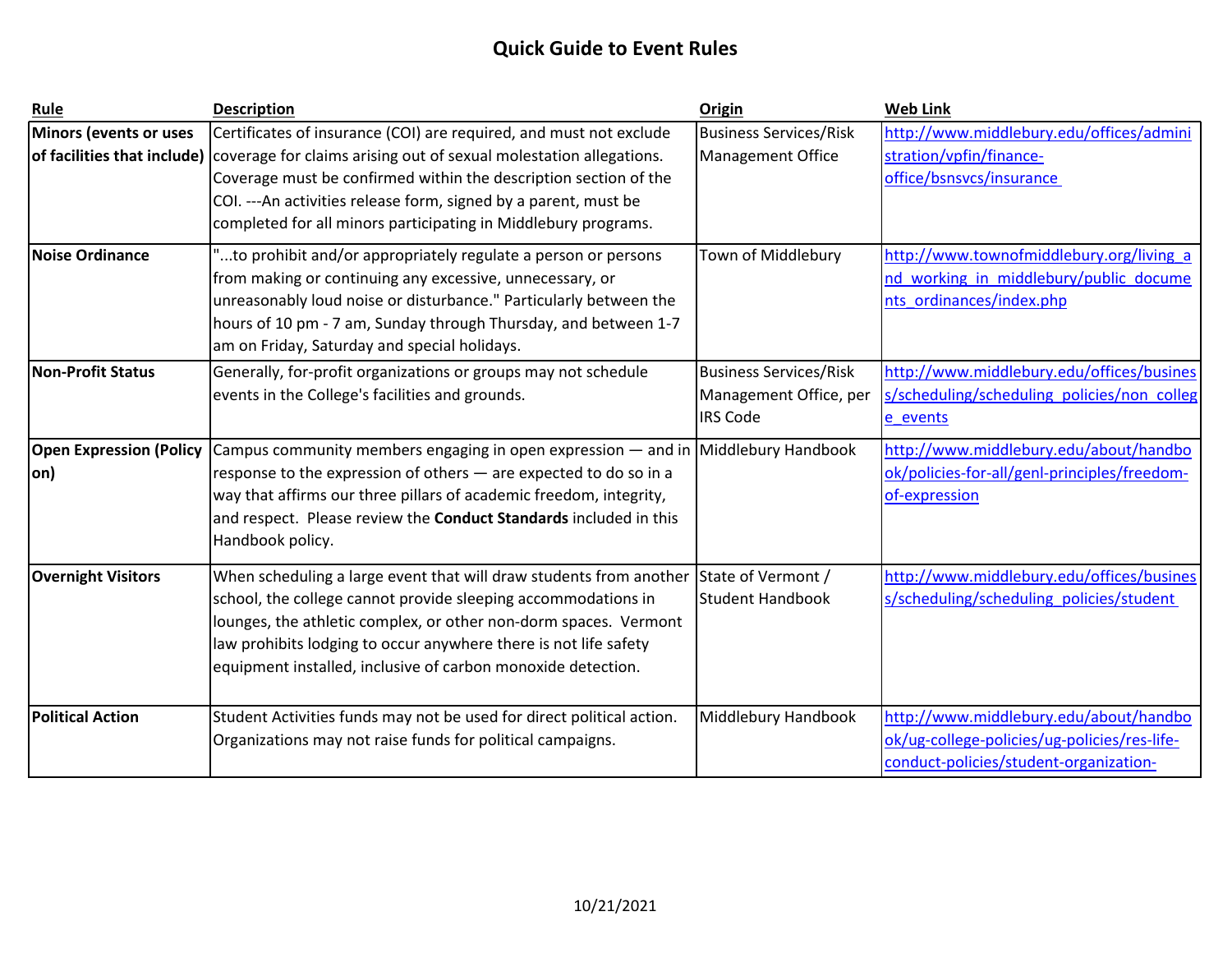| Rule                           | <b>Description</b>                                                                | Origin                        | <b>Web Link</b>                              |
|--------------------------------|-----------------------------------------------------------------------------------|-------------------------------|----------------------------------------------|
| Minors (events or uses         | Certificates of insurance (COI) are required, and must not exclude                | <b>Business Services/Risk</b> | http://www.middlebury.edu/offices/admini     |
| of facilities that include)    | coverage for claims arising out of sexual molestation allegations.                | <b>Management Office</b>      | stration/vpfin/finance-                      |
|                                | Coverage must be confirmed within the description section of the                  |                               | office/bsnsvcs/insurance                     |
|                                | COI. --- An activities release form, signed by a parent, must be                  |                               |                                              |
|                                | completed for all minors participating in Middlebury programs.                    |                               |                                              |
| <b>Noise Ordinance</b>         | "to prohibit and/or appropriately regulate a person or persons                    | Town of Middlebury            | http://www.townofmiddlebury.org/living a     |
|                                | from making or continuing any excessive, unnecessary, or                          |                               | nd working in middlebury/public docume       |
|                                | unreasonably loud noise or disturbance." Particularly between the                 |                               | nts ordinances/index.php                     |
|                                | hours of 10 pm - 7 am, Sunday through Thursday, and between 1-7                   |                               |                                              |
|                                | am on Friday, Saturday and special holidays.                                      |                               |                                              |
| <b>Non-Profit Status</b>       | Generally, for-profit organizations or groups may not schedule                    | <b>Business Services/Risk</b> | http://www.middlebury.edu/offices/busines    |
|                                | events in the College's facilities and grounds.                                   | Management Office, per        | s/scheduling/scheduling policies/non colleg  |
|                                |                                                                                   | <b>IRS Code</b>               | e events                                     |
| <b>Open Expression (Policy</b> | Campus community members engaging in open expression — and in Middlebury Handbook |                               | http://www.middlebury.edu/about/handbo       |
| on)                            | response to the expression of others - are expected to do so in a                 |                               | ok/policies-for-all/genl-principles/freedom- |
|                                | way that affirms our three pillars of academic freedom, integrity,                |                               | of-expression                                |
|                                | and respect. Please review the Conduct Standards included in this                 |                               |                                              |
|                                | Handbook policy.                                                                  |                               |                                              |
| <b>Overnight Visitors</b>      | When scheduling a large event that will draw students from another                | State of Vermont /            | http://www.middlebury.edu/offices/busines    |
|                                | school, the college cannot provide sleeping accommodations in                     | <b>Student Handbook</b>       | s/scheduling/scheduling policies/student     |
|                                | lounges, the athletic complex, or other non-dorm spaces. Vermont                  |                               |                                              |
|                                | law prohibits lodging to occur anywhere there is not life safety                  |                               |                                              |
|                                | equipment installed, inclusive of carbon monoxide detection.                      |                               |                                              |
|                                |                                                                                   |                               |                                              |
| <b>Political Action</b>        | Student Activities funds may not be used for direct political action.             | Middlebury Handbook           | http://www.middlebury.edu/about/handbo       |
|                                | Organizations may not raise funds for political campaigns.                        |                               | ok/ug-college-policies/ug-policies/res-life- |
|                                |                                                                                   |                               | conduct-policies/student-organization-       |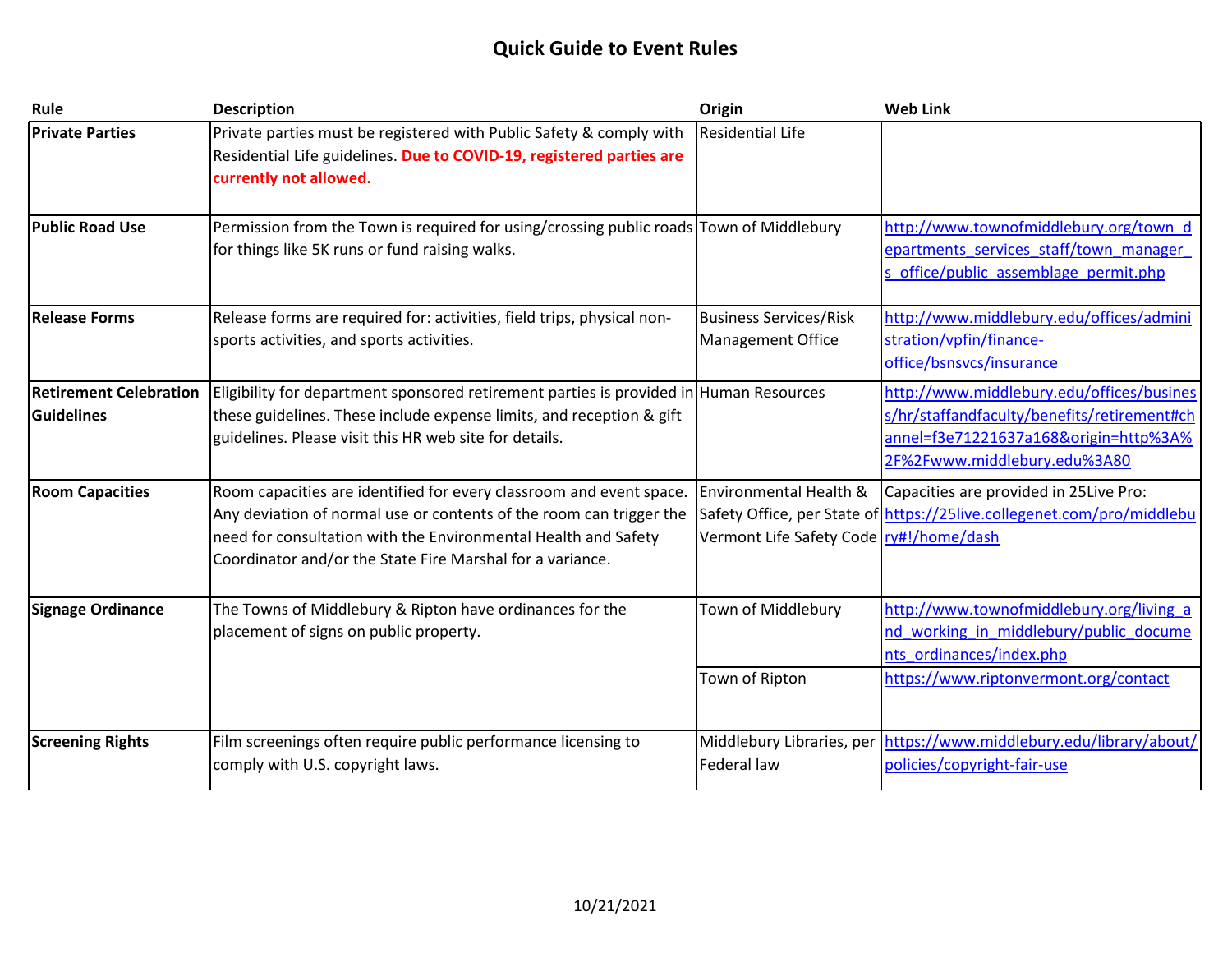| Rule                                        | <b>Description</b>                                                                                                                                                                                                                                                        | Origin                                                            | <b>Web Link</b>                                                                                                                                                   |
|---------------------------------------------|---------------------------------------------------------------------------------------------------------------------------------------------------------------------------------------------------------------------------------------------------------------------------|-------------------------------------------------------------------|-------------------------------------------------------------------------------------------------------------------------------------------------------------------|
| <b>Private Parties</b>                      | Private parties must be registered with Public Safety & comply with<br>Residential Life guidelines. Due to COVID-19, registered parties are<br>currently not allowed.                                                                                                     | <b>Residential Life</b>                                           |                                                                                                                                                                   |
| <b>Public Road Use</b>                      | Permission from the Town is required for using/crossing public roads Town of Middlebury<br>for things like 5K runs or fund raising walks.                                                                                                                                 |                                                                   | http://www.townofmiddlebury.org/town_d<br>epartments_services_staff/town_manager<br>office/public assemblage permit.php                                           |
| <b>Release Forms</b>                        | Release forms are required for: activities, field trips, physical non-<br>sports activities, and sports activities.                                                                                                                                                       | <b>Business Services/Risk</b><br>Management Office                | http://www.middlebury.edu/offices/admini<br>stration/vpfin/finance-<br>office/bsnsvcs/insurance                                                                   |
| <b>Retirement Celebration</b><br>Guidelines | Eligibility for department sponsored retirement parties is provided in Human Resources<br>these guidelines. These include expense limits, and reception & gift<br>guidelines. Please visit this HR web site for details.                                                  |                                                                   | http://www.middlebury.edu/offices/busines<br>s/hr/staffandfaculty/benefits/retirement#ch<br>annel=f3e71221637a168&origin=http%3A%<br>2F%2Fwww.middlebury.edu%3A80 |
| <b>Room Capacities</b>                      | Room capacities are identified for every classroom and event space.<br>Any deviation of normal use or contents of the room can trigger the<br>need for consultation with the Environmental Health and Safety<br>Coordinator and/or the State Fire Marshal for a variance. | Environmental Health &<br>Vermont Life Safety Code ry#!/home/dash | Capacities are provided in 25Live Pro:<br>Safety Office, per State of https://25live.collegenet.com/pro/middlebu                                                  |
| Signage Ordinance                           | The Towns of Middlebury & Ripton have ordinances for the<br>placement of signs on public property.                                                                                                                                                                        | Town of Middlebury                                                | http://www.townofmiddlebury.org/living a<br>nd working in middlebury/public docume<br>nts ordinances/index.php                                                    |
|                                             |                                                                                                                                                                                                                                                                           | Town of Ripton                                                    | https://www.riptonvermont.org/contact                                                                                                                             |
| <b>Screening Rights</b>                     | Film screenings often require public performance licensing to<br>comply with U.S. copyright laws.                                                                                                                                                                         | Middlebury Libraries, per<br>Federal law                          | https://www.middlebury.edu/library/about/<br>policies/copyright-fair-use                                                                                          |